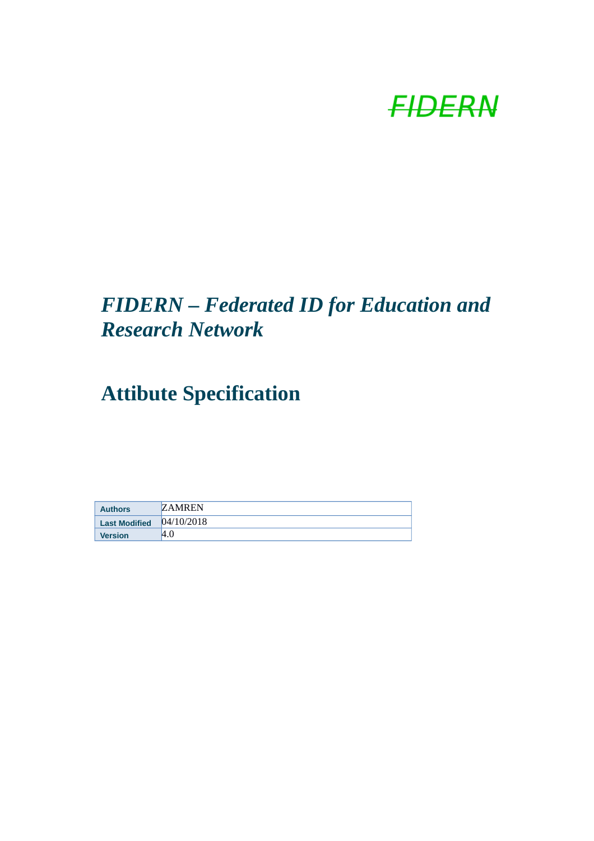

## *FIDERN – Federated ID for Education and Research Network*

# **Attibute Specification**

| <b>Authors</b>       | <b>ZAMREN</b> |
|----------------------|---------------|
| <b>Last Modified</b> | 04/10/2018    |
| <b>Version</b>       | 4.0           |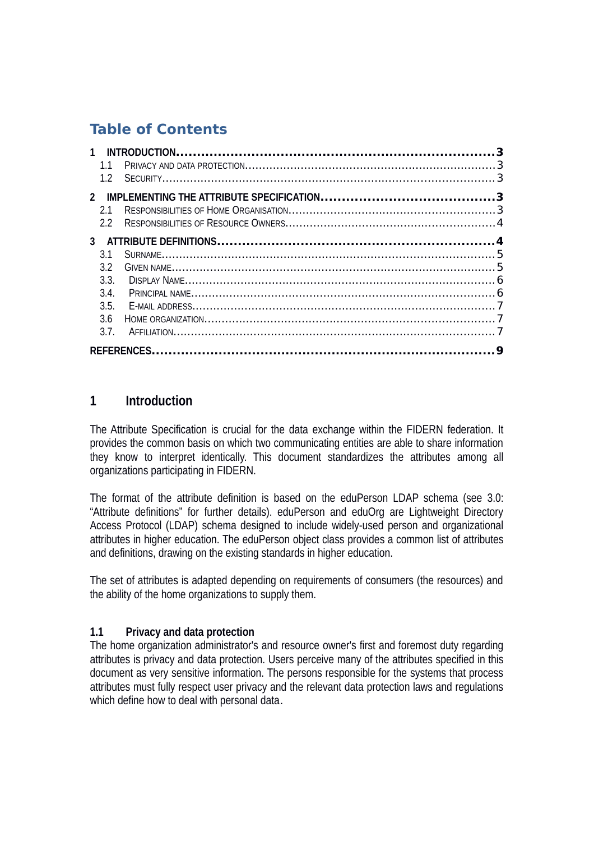## **Table of Contents**

| $\mathbf{1}$   |                  |  |
|----------------|------------------|--|
|                | 1.1              |  |
|                |                  |  |
| $\overline{2}$ |                  |  |
|                | 21               |  |
|                | $2.2^{\circ}$    |  |
|                |                  |  |
|                | 3.1              |  |
|                | 3.2 <sub>2</sub> |  |
|                | 3.3.             |  |
|                | 3.4              |  |
|                | 3.5.             |  |
|                | 3.6              |  |
|                | 3.7.             |  |
|                |                  |  |

### **1 Introduction**

The Attribute Specification is crucial for the data exchange within the FIDERN federation. It provides the common basis on which two communicating entities are able to share information they know to interpret identically. This document standardizes the attributes among all organizations participating in FIDERN.

The format of the attribute definition is based on the eduPerson LDAP schema (see 3.0: "Attribute definitions" for further details). eduPerson and eduOrg are Lightweight Directory Access Protocol (LDAP) schema designed to include widely-used person and organizational attributes in higher education. The eduPerson object class provides a common list of attributes and definitions, drawing on the existing standards in higher education.

The set of attributes is adapted depending on requirements of consumers (the resources) and the ability of the home organizations to supply them.

#### **1.1 Privacy and data protection**

The home organization administrator's and resource owner's first and foremost duty regarding attributes is privacy and data protection. Users perceive many of the attributes specified in this document as very sensitive information. The persons responsible for the systems that process attributes must fully respect user privacy and the relevant data protection laws and regulations which define how to deal with personal data.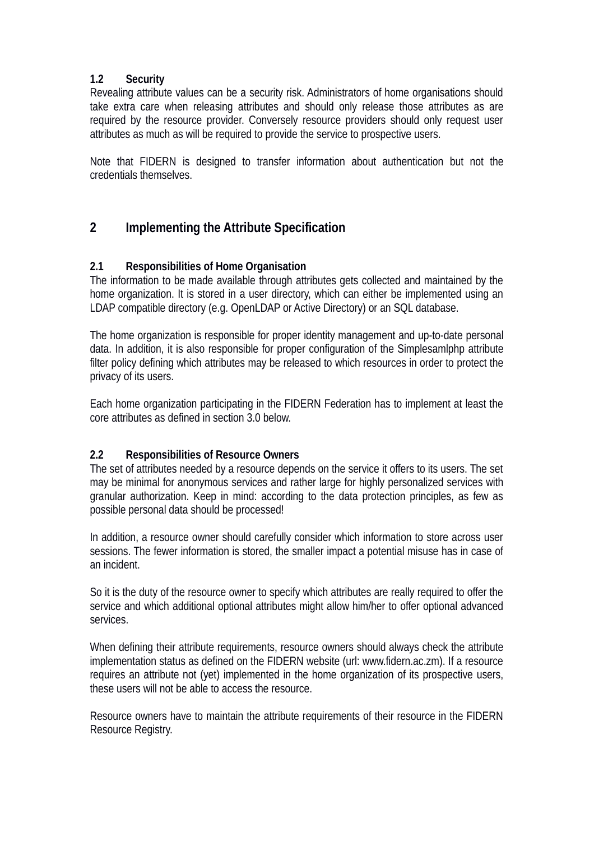#### **1.2 Security**

Revealing attribute values can be a security risk. Administrators of home organisations should take extra care when releasing attributes and should only release those attributes as are required by the resource provider. Conversely resource providers should only request user attributes as much as will be required to provide the service to prospective users.

Note that FIDERN is designed to transfer information about authentication but not the credentials themselves.

### **2 Implementing the Attribute Specification**

#### **2.1 Responsibilities of Home Organisation**

The information to be made available through attributes gets collected and maintained by the home organization. It is stored in a user directory, which can either be implemented using an LDAP compatible directory (e.g. OpenLDAP or Active Directory) or an SQL database.

The home organization is responsible for proper identity management and up-to-date personal data. In addition, it is also responsible for proper configuration of the Simplesamlphp attribute filter policy defining which attributes may be released to which resources in order to protect the privacy of its users.

Each home organization participating in the FIDERN Federation has to implement at least the core attributes as defined in section 3.0 below.

#### **2.2 Responsibilities of Resource Owners**

The set of attributes needed by a resource depends on the service it offers to its users. The set may be minimal for anonymous services and rather large for highly personalized services with granular authorization. Keep in mind: according to the data protection principles, as few as possible personal data should be processed!

In addition, a resource owner should carefully consider which information to store across user sessions. The fewer information is stored, the smaller impact a potential misuse has in case of an incident.

So it is the duty of the resource owner to specify which attributes are really required to offer the service and which additional optional attributes might allow him/her to offer optional advanced services.

When defining their attribute requirements, resource owners should always check the attribute implementation status as defined on the FIDERN website (url: www.fidern.ac.zm). If a resource requires an attribute not (yet) implemented in the home organization of its prospective users, these users will not be able to access the resource.

Resource owners have to maintain the attribute requirements of their resource in the FIDERN Resource Registry.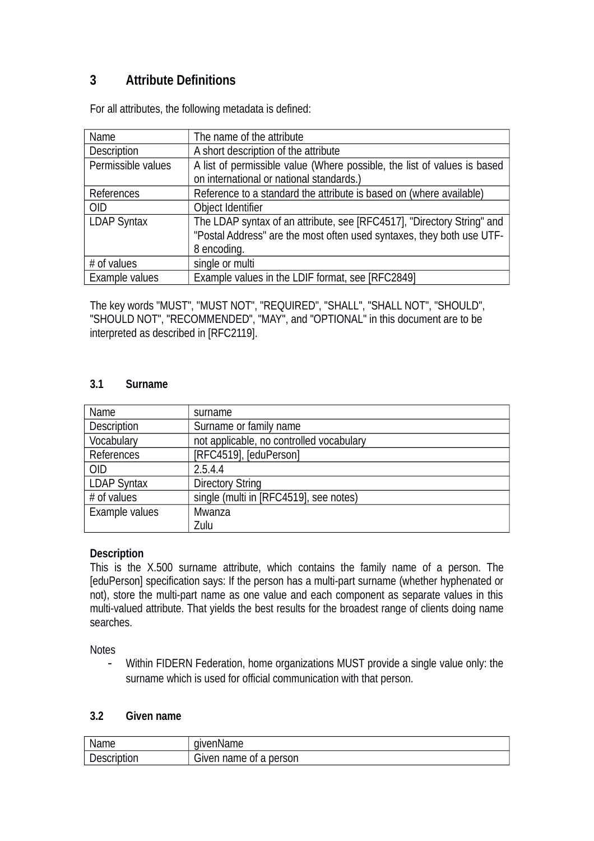## **3 Attribute Definitions**

For all attributes, the following metadata is defined:

| Name               | The name of the attribute                                                |
|--------------------|--------------------------------------------------------------------------|
| Description        | A short description of the attribute                                     |
| Permissible values | A list of permissible value (Where possible, the list of values is based |
|                    | on international or national standards.)                                 |
| References         | Reference to a standard the attribute is based on (where available)      |
| <b>OID</b>         | Object Identifier                                                        |
| <b>LDAP Syntax</b> | The LDAP syntax of an attribute, see [RFC4517], "Directory String" and   |
|                    | "Postal Address" are the most often used syntaxes, they both use UTF-    |
|                    | 8 encoding.                                                              |
| # of values        | single or multi                                                          |
| Example values     | Example values in the LDIF format, see [RFC2849]                         |

The key words "MUST", "MUST NOT", "REQUIRED", "SHALL", "SHALL NOT", "SHOULD", "SHOULD NOT", "RECOMMENDED", "MAY", and "OPTIONAL" in this document are to be interpreted as described in [RFC2119].

#### **3.1 Surname**

| Name               | surname                                  |
|--------------------|------------------------------------------|
| Description        | Surname or family name                   |
| Vocabulary         | not applicable, no controlled vocabulary |
| References         | [RFC4519], [eduPerson]                   |
| <b>OID</b>         | 2.5.4.4                                  |
| <b>LDAP Syntax</b> | <b>Directory String</b>                  |
| # of values        | single (multi in [RFC4519], see notes)   |
| Example values     | Mwanza                                   |
|                    | Zulu                                     |

#### **Description**

This is the X.500 surname attribute, which contains the family name of a person. The [eduPerson] specification says: If the person has a multi-part surname (whether hyphenated or not), store the multi-part name as one value and each component as separate values in this multi-valued attribute. That yields the best results for the broadest range of clients doing name searches.

**Notes** 

 Within FIDERN Federation, home organizations MUST provide a single value only: the surname which is used for official communication with that person.

#### **3.2 Given name**

| Name        | aivenName              |
|-------------|------------------------|
| Description | Given name of a person |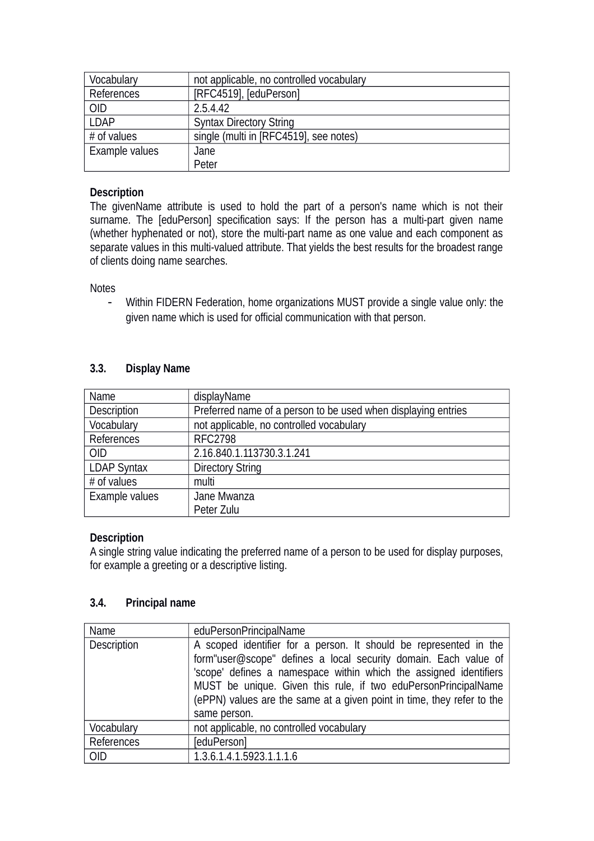| Vocabulary     | not applicable, no controlled vocabulary |
|----------------|------------------------------------------|
| References     | [RFC4519], [eduPerson]                   |
| <b>OID</b>     | 2.5.4.42                                 |
| <b>LDAP</b>    | <b>Syntax Directory String</b>           |
| $#$ of values  | single (multi in [RFC4519], see notes)   |
| Example values | Jane                                     |
|                | Peter                                    |

#### **Description**

The givenName attribute is used to hold the part of a person's name which is not their surname. The [eduPerson] specification says: If the person has a multi-part given name (whether hyphenated or not), store the multi-part name as one value and each component as separate values in this multi-valued attribute. That yields the best results for the broadest range of clients doing name searches.

**Notes** 

 Within FIDERN Federation, home organizations MUST provide a single value only: the given name which is used for official communication with that person.

#### **3.3. Display Name**

| Name               | displayName                                                   |
|--------------------|---------------------------------------------------------------|
| Description        | Preferred name of a person to be used when displaying entries |
| Vocabulary         | not applicable, no controlled vocabulary                      |
| References         | <b>RFC2798</b>                                                |
| <b>OID</b>         | 2.16.840.1.113730.3.1.241                                     |
| <b>LDAP Syntax</b> | <b>Directory String</b>                                       |
| # of values        | multi                                                         |
| Example values     | Jane Mwanza                                                   |
|                    | Peter Zulu                                                    |

#### **Description**

A single string value indicating the preferred name of a person to be used for display purposes, for example a greeting or a descriptive listing.

#### **3.4. Principal name**

| Name        | eduPersonPrincipalName                                                                                                                                                                                                                                                                                                                                                |
|-------------|-----------------------------------------------------------------------------------------------------------------------------------------------------------------------------------------------------------------------------------------------------------------------------------------------------------------------------------------------------------------------|
| Description | A scoped identifier for a person. It should be represented in the<br>form"user@scope" defines a local security domain. Each value of<br>'scope' defines a namespace within which the assigned identifiers<br>MUST be unique. Given this rule, if two eduPersonPrincipalName<br>(ePPN) values are the same at a given point in time, they refer to the<br>same person. |
| Vocabulary  | not applicable, no controlled vocabulary                                                                                                                                                                                                                                                                                                                              |
| References  | [eduPerson]                                                                                                                                                                                                                                                                                                                                                           |
| <b>OID</b>  | 1.3.6.1.4.1.5923.1.1.1.6                                                                                                                                                                                                                                                                                                                                              |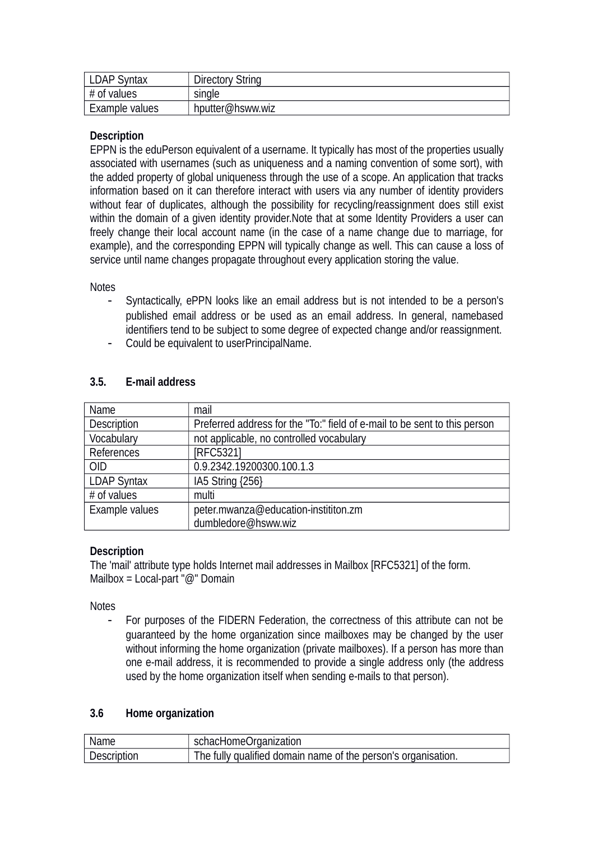| <b>LDAP Syntax</b> | <b>Directory String</b> |
|--------------------|-------------------------|
| $#$ of values      | single                  |
| Example values     | hputter@hsww.wiz        |

#### **Description**

EPPN is the eduPerson equivalent of a username. It typically has most of the properties usually associated with usernames (such as uniqueness and a naming convention of some sort), with the added property of global uniqueness through the use of a scope. An application that tracks information based on it can therefore interact with users via any number of identity providers without fear of duplicates, although the possibility for recycling/reassignment does still exist within the domain of a given identity provider.Note that at some Identity Providers a user can freely change their local account name (in the case of a name change due to marriage, for example), and the corresponding EPPN will typically change as well. This can cause a loss of service until name changes propagate throughout every application storing the value.

**Notes** 

- Syntactically, ePPN looks like an email address but is not intended to be a person's published email address or be used as an email address. In general, namebased identifiers tend to be subject to some degree of expected change and/or reassignment.
- Could be equivalent to userPrincipalName.

| Name               | mail                                                                      |
|--------------------|---------------------------------------------------------------------------|
| Description        | Preferred address for the "To:" field of e-mail to be sent to this person |
| Vocabulary         | not applicable, no controlled vocabulary                                  |
| References         | <b>IRFC53211</b>                                                          |
| <b>OID</b>         | 0.9.2342.19200300.100.1.3                                                 |
| <b>LDAP Syntax</b> | IA5 String {256}                                                          |
| # of values        | multi                                                                     |
| Example values     | peter.mwanza@education-instititon.zm                                      |
|                    | dumbledore@hsww.wiz                                                       |

#### **3.5. E-mail address**

#### **Description**

The 'mail' attribute type holds Internet mail addresses in Mailbox [RFC5321] of the form. Mailbox = Local-part "@" Domain

Notes

- For purposes of the FIDERN Federation, the correctness of this attribute can not be guaranteed by the home organization since mailboxes may be changed by the user without informing the home organization (private mailboxes). If a person has more than one e-mail address, it is recommended to provide a single address only (the address used by the home organization itself when sending e-mails to that person).

#### **3.6 Home organization**

| Name        | schacHomeOrganization                                         |
|-------------|---------------------------------------------------------------|
| Description | The fully qualified domain name of the person's organisation. |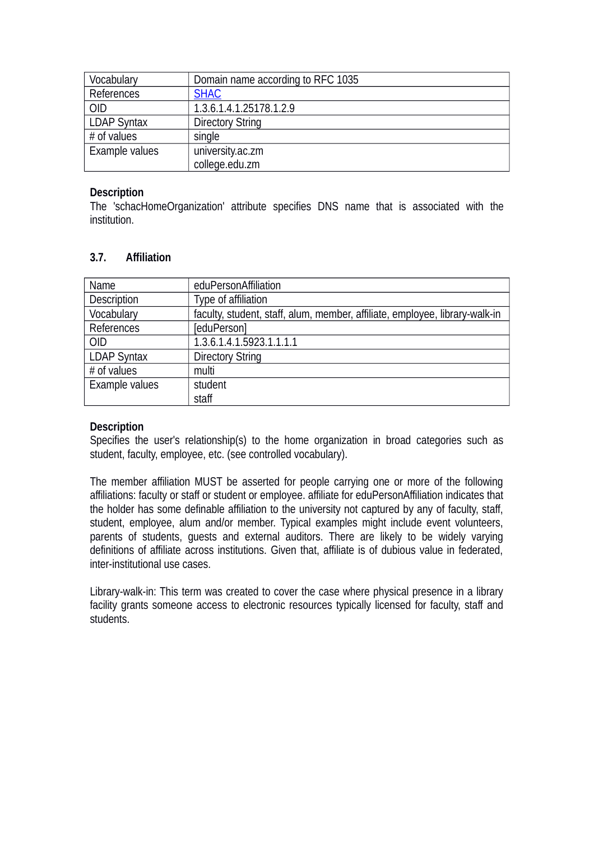| Vocabulary         | Domain name according to RFC 1035 |
|--------------------|-----------------------------------|
| References         | <b>SHAC</b>                       |
| <b>OID</b>         | 1.3.6.1.4.1.25178.1.2.9           |
| <b>LDAP Syntax</b> | <b>Directory String</b>           |
| # of values        | single                            |
| Example values     | university.ac.zm                  |
|                    | college.edu.zm                    |

#### **Description**

The 'schacHomeOrganization' attribute specifies DNS name that is associated with the institution.

#### **3.7. Affiliation**

| Name               | eduPersonAffiliation                                                        |
|--------------------|-----------------------------------------------------------------------------|
| Description        | Type of affiliation                                                         |
| Vocabulary         | faculty, student, staff, alum, member, affiliate, employee, library-walk-in |
| References         | [eduPerson]                                                                 |
| <b>OID</b>         | 1.3.6.1.4.1.5923.1.1.1.1                                                    |
| <b>LDAP Syntax</b> | <b>Directory String</b>                                                     |
| # of values        | multi                                                                       |
| Example values     | student                                                                     |
|                    | staff                                                                       |

#### **Description**

Specifies the user's relationship(s) to the home organization in broad categories such as student, faculty, employee, etc. (see controlled vocabulary).

The member affiliation MUST be asserted for people carrying one or more of the following affiliations: faculty or staff or student or employee. affiliate for eduPersonAffiliation indicates that the holder has some definable affiliation to the university not captured by any of faculty, staff, student, employee, alum and/or member. Typical examples might include event volunteers, parents of students, guests and external auditors. There are likely to be widely varying definitions of affiliate across institutions. Given that, affiliate is of dubious value in federated, inter-institutional use cases.

Library-walk-in: This term was created to cover the case where physical presence in a library facility grants someone access to electronic resources typically licensed for faculty, staff and students.